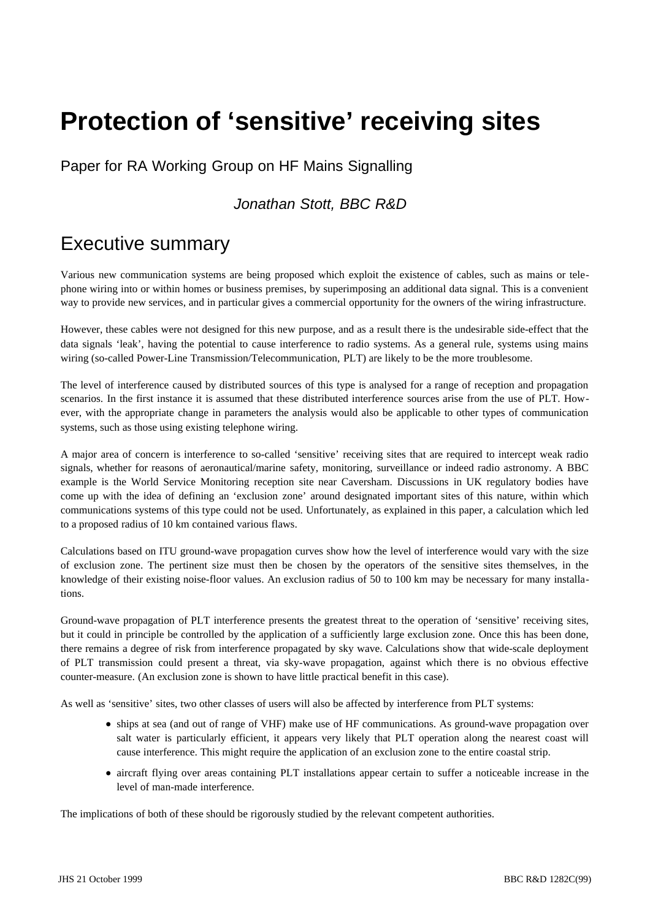# **Protection of 'sensitive' receiving sites**

Paper for RA Working Group on HF Mains Signalling

## *Jonathan Stott, BBC R&D*

## Executive summary

Various new communication systems are being proposed which exploit the existence of cables, such as mains or telephone wiring into or within homes or business premises, by superimposing an additional data signal. This is a convenient way to provide new services, and in particular gives a commercial opportunity for the owners of the wiring infrastructure.

However, these cables were not designed for this new purpose, and as a result there is the undesirable side-effect that the data signals 'leak', having the potential to cause interference to radio systems. As a general rule, systems using mains wiring (so-called Power-Line Transmission/Telecommunication, PLT) are likely to be the more troublesome.

The level of interference caused by distributed sources of this type is analysed for a range of reception and propagation scenarios. In the first instance it is assumed that these distributed interference sources arise from the use of PLT. However, with the appropriate change in parameters the analysis would also be applicable to other types of communication systems, such as those using existing telephone wiring.

A major area of concern is interference to so-called 'sensitive' receiving sites that are required to intercept weak radio signals, whether for reasons of aeronautical/marine safety, monitoring, surveillance or indeed radio astronomy. A BBC example is the World Service Monitoring reception site near Caversham. Discussions in UK regulatory bodies have come up with the idea of defining an 'exclusion zone' around designated important sites of this nature, within which communications systems of this type could not be used. Unfortunately, as explained in this paper, a calculation which led to a proposed radius of 10 km contained various flaws.

Calculations based on ITU ground-wave propagation curves show how the level of interference would vary with the size of exclusion zone. The pertinent size must then be chosen by the operators of the sensitive sites themselves, in the knowledge of their existing noise-floor values. An exclusion radius of 50 to 100 km may be necessary for many installations.

Ground-wave propagation of PLT interference presents the greatest threat to the operation of 'sensitive' receiving sites, but it could in principle be controlled by the application of a sufficiently large exclusion zone. Once this has been done, there remains a degree of risk from interference propagated by sky wave. Calculations show that wide-scale deployment of PLT transmission could present a threat, via sky-wave propagation, against which there is no obvious effective counter-measure. (An exclusion zone is shown to have little practical benefit in this case).

As well as 'sensitive' sites, two other classes of users will also be affected by interference from PLT systems:

- ships at sea (and out of range of VHF) make use of HF communications. As ground-wave propagation over salt water is particularly efficient, it appears very likely that PLT operation along the nearest coast will cause interference. This might require the application of an exclusion zone to the entire coastal strip.
- aircraft flying over areas containing PLT installations appear certain to suffer a noticeable increase in the level of man-made interference.

The implications of both of these should be rigorously studied by the relevant competent authorities.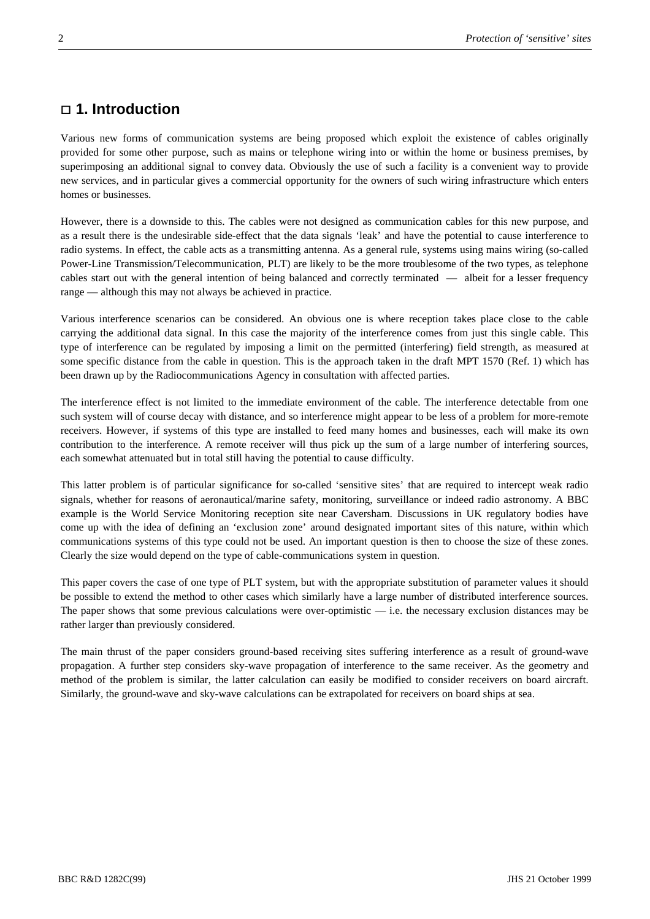## **1. Introduction**

Various new forms of communication systems are being proposed which exploit the existence of cables originally provided for some other purpose, such as mains or telephone wiring into or within the home or business premises, by superimposing an additional signal to convey data. Obviously the use of such a facility is a convenient way to provide new services, and in particular gives a commercial opportunity for the owners of such wiring infrastructure which enters homes or businesses.

However, there is a downside to this. The cables were not designed as communication cables for this new purpose, and as a result there is the undesirable side-effect that the data signals 'leak' and have the potential to cause interference to radio systems. In effect, the cable acts as a transmitting antenna. As a general rule, systems using mains wiring (so-called Power-Line Transmission/Telecommunication, PLT) are likely to be the more troublesome of the two types, as telephone cables start out with the general intention of being balanced and correctly terminated — albeit for a lesser frequency range — although this may not always be achieved in practice.

Various interference scenarios can be considered. An obvious one is where reception takes place close to the cable carrying the additional data signal. In this case the majority of the interference comes from just this single cable. This type of interference can be regulated by imposing a limit on the permitted (interfering) field strength, as measured at some specific distance from the cable in question. This is the approach taken in the draft MPT 1570 (Ref. 1) which has been drawn up by the Radiocommunications Agency in consultation with affected parties.

The interference effect is not limited to the immediate environment of the cable. The interference detectable from one such system will of course decay with distance, and so interference might appear to be less of a problem for more-remote receivers. However, if systems of this type are installed to feed many homes and businesses, each will make its own contribution to the interference. A remote receiver will thus pick up the sum of a large number of interfering sources, each somewhat attenuated but in total still having the potential to cause difficulty.

This latter problem is of particular significance for so-called 'sensitive sites' that are required to intercept weak radio signals, whether for reasons of aeronautical/marine safety, monitoring, surveillance or indeed radio astronomy. A BBC example is the World Service Monitoring reception site near Caversham. Discussions in UK regulatory bodies have come up with the idea of defining an 'exclusion zone' around designated important sites of this nature, within which communications systems of this type could not be used. An important question is then to choose the size of these zones. Clearly the size would depend on the type of cable-communications system in question.

This paper covers the case of one type of PLT system, but with the appropriate substitution of parameter values it should be possible to extend the method to other cases which similarly have a large number of distributed interference sources. The paper shows that some previous calculations were over-optimistic — i.e. the necessary exclusion distances may be rather larger than previously considered.

The main thrust of the paper considers ground-based receiving sites suffering interference as a result of ground-wave propagation. A further step considers sky-wave propagation of interference to the same receiver. As the geometry and method of the problem is similar, the latter calculation can easily be modified to consider receivers on board aircraft. Similarly, the ground-wave and sky-wave calculations can be extrapolated for receivers on board ships at sea.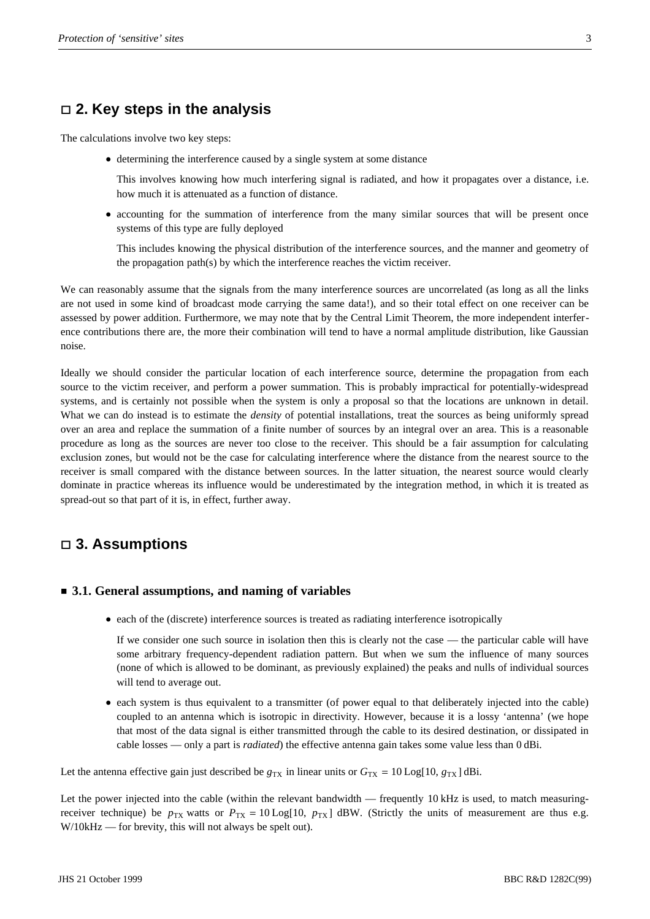## **2. Key steps in the analysis**

The calculations involve two key steps:

determining the interference caused by a single system at some distance

This involves knowing how much interfering signal is radiated, and how it propagates over a distance, i.e. how much it is attenuated as a function of distance.

• accounting for the summation of interference from the many similar sources that will be present once systems of this type are fully deployed

This includes knowing the physical distribution of the interference sources, and the manner and geometry of the propagation path(s) by which the interference reaches the victim receiver.

We can reasonably assume that the signals from the many interference sources are uncorrelated (as long as all the links are not used in some kind of broadcast mode carrying the same data!), and so their total effect on one receiver can be assessed by power addition. Furthermore, we may note that by the Central Limit Theorem, the more independent interference contributions there are, the more their combination will tend to have a normal amplitude distribution, like Gaussian noise.

Ideally we should consider the particular location of each interference source, determine the propagation from each source to the victim receiver, and perform a power summation. This is probably impractical for potentially-widespread systems, and is certainly not possible when the system is only a proposal so that the locations are unknown in detail. What we can do instead is to estimate the *density* of potential installations, treat the sources as being uniformly spread over an area and replace the summation of a finite number of sources by an integral over an area. This is a reasonable procedure as long as the sources are never too close to the receiver. This should be a fair assumption for calculating exclusion zones, but would not be the case for calculating interference where the distance from the nearest source to the receiver is small compared with the distance between sources. In the latter situation, the nearest source would clearly dominate in practice whereas its influence would be underestimated by the integration method, in which it is treated as spread-out so that part of it is, in effect, further away.

## **3. Assumptions**

#### **3.1. General assumptions, and naming of variables**

• each of the (discrete) interference sources is treated as radiating interference isotropically

If we consider one such source in isolation then this is clearly not the case — the particular cable will have some arbitrary frequency-dependent radiation pattern. But when we sum the influence of many sources (none of which is allowed to be dominant, as previously explained) the peaks and nulls of individual sources will tend to average out.

• each system is thus equivalent to a transmitter (of power equal to that deliberately injected into the cable) coupled to an antenna which is isotropic in directivity. However, because it is a lossy 'antenna' (we hope that most of the data signal is either transmitted through the cable to its desired destination, or dissipated in cable losses — only a part is *radiated*) the effective antenna gain takes some value less than 0 dBi.

Let the antenna effective gain just described be  $g_{TX}$  in linear units or  $G_{TX} = 10 \text{Log}[10, g_{TX}]$  dBi.

Let the power injected into the cable (within the relevant bandwidth — frequently 10 kHz is used, to match measuringreceiver technique) be  $p_{TX}$  watts or  $P_{TX} = 10 \text{Log}[10, p_{TX}]$  dBW. (Strictly the units of measurement are thus e.g. W/10kHz — for brevity, this will not always be spelt out).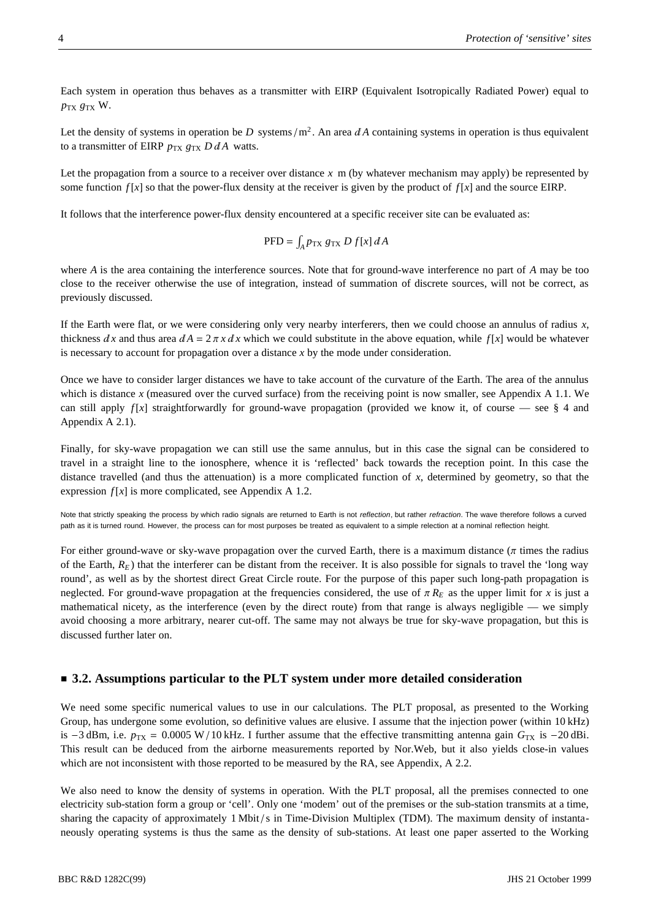Each system in operation thus behaves as a transmitter with EIRP (Equivalent Isotropically Radiated Power) equal to  $p_{TX}$   $g_{TX}$  W.

Let the density of systems in operation be *D* systems/ $m^2$ . An area  $dA$  containing systems in operation is thus equivalent to a transmitter of EIRP  $p_{TX}$   $g_{TX}$  *D d A* watts.

Let the propagation from a source to a receiver over distance  $x$  m (by whatever mechanism may apply) be represented by some function  $f[x]$  so that the power-flux density at the receiver is given by the product of  $f[x]$  and the source EIRP.

It follows that the interference power-flux density encountered at a specific receiver site can be evaluated as:

$$
PFD = \int_A p_{\text{TX}} g_{\text{TX}} D f[x] dA
$$

where *A* is the area containing the interference sources. Note that for ground-wave interference no part of *A* may be too close to the receiver otherwise the use of integration, instead of summation of discrete sources, will not be correct, as previously discussed.

If the Earth were flat, or we were considering only very nearby interferers, then we could choose an annulus of radius *x*, thickness *dx* and thus area  $dA = 2 \pi x dx$  which we could substitute in the above equation, while  $f[x]$  would be whatever is necessary to account for propagation over a distance *x* by the mode under consideration.

Once we have to consider larger distances we have to take account of the curvature of the Earth. The area of the annulus which is distance *x* (measured over the curved surface) from the receiving point is now smaller, see Appendix A 1.1. We can still apply  $f[x]$  straightforwardly for ground-wave propagation (provided we know it, of course — see  $\S$  4 and Appendix A 2.1).

Finally, for sky-wave propagation we can still use the same annulus, but in this case the signal can be considered to travel in a straight line to the ionosphere, whence it is 'reflected' back towards the reception point. In this case the distance travelled (and thus the attenuation) is a more complicated function of *x*, determined by geometry, so that the expression  $f[x]$  is more complicated, see Appendix A 1.2.

Note that strictly speaking the process by which radio signals are returned to Earth is not *reflection*, but rather *refraction*. The wave therefore follows a curved path as it is turned round. However, the process can for most purposes be treated as equivalent to a simple relection at a nominal reflection height.

For either ground-wave or sky-wave propagation over the curved Earth, there is a maximum distance ( $\pi$  times the radius of the Earth,  $R_E$ ) that the interferer can be distant from the receiver. It is also possible for signals to travel the 'long way round', as well as by the shortest direct Great Circle route. For the purpose of this paper such long-path propagation is neglected. For ground-wave propagation at the frequencies considered, the use of  $\pi R_E$  as the upper limit for *x* is just a mathematical nicety, as the interference (even by the direct route) from that range is always negligible — we simply avoid choosing a more arbitrary, nearer cut-off. The same may not always be true for sky-wave propagation, but this is discussed further later on.

#### **3.2. Assumptions particular to the PLT system under more detailed consideration**

We need some specific numerical values to use in our calculations. The PLT proposal, as presented to the Working Group, has undergone some evolution, so definitive values are elusive. I assume that the injection power (within 10 kHz) is  $-3$  dBm, i.e.  $p_{TX} = 0.0005 \text{ W} / 10 \text{ kHz}$ . I further assume that the effective transmitting antenna gain  $G_{TX}$  is  $-20$  dBi. This result can be deduced from the airborne measurements reported by Nor.Web, but it also yields close-in values which are not inconsistent with those reported to be measured by the RA, see Appendix, A 2.2.

We also need to know the density of systems in operation. With the PLT proposal, all the premises connected to one electricity sub-station form a group or 'cell'. Only one 'modem' out of the premises or the sub-station transmits at a time, sharing the capacity of approximately  $1$  Mbit/s in Time-Division Multiplex (TDM). The maximum density of instantaneously operating systems is thus the same as the density of sub-stations. At least one paper asserted to the Working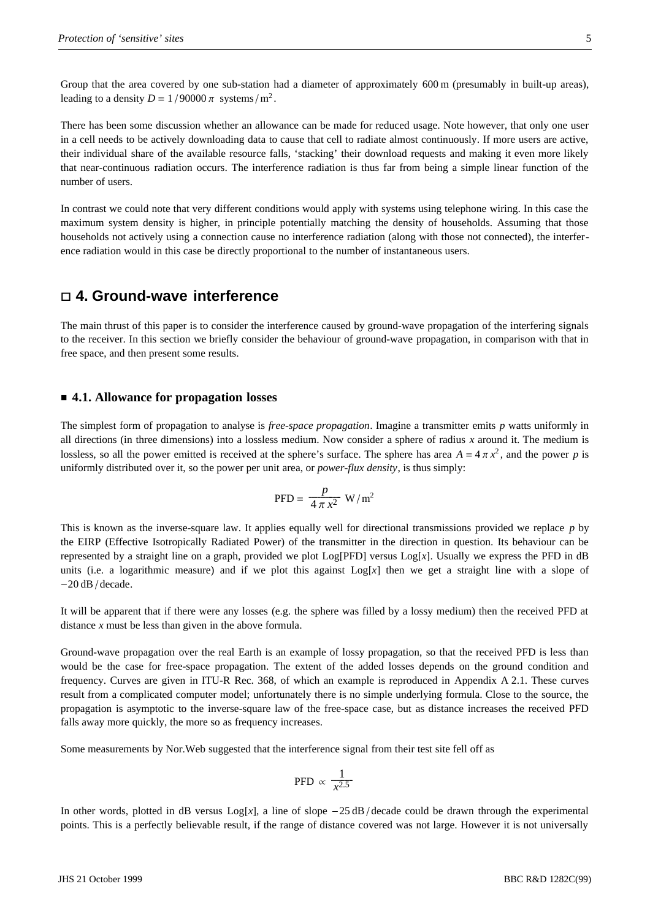Group that the area covered by one sub-station had a diameter of approximately 600 m (presumably in built-up areas), leading to a density  $D = 1/90000 \pi$  systems/m<sup>2</sup>.

There has been some discussion whether an allowance can be made for reduced usage. Note however, that only one user in a cell needs to be actively downloading data to cause that cell to radiate almost continuously. If more users are active, their individual share of the available resource falls, 'stacking' their download requests and making it even more likely that near-continuous radiation occurs. The interference radiation is thus far from being a simple linear function of the number of users.

In contrast we could note that very different conditions would apply with systems using telephone wiring. In this case the maximum system density is higher, in principle potentially matching the density of households. Assuming that those households not actively using a connection cause no interference radiation (along with those not connected), the interference radiation would in this case be directly proportional to the number of instantaneous users.

#### **4. Ground-wave interference**

The main thrust of this paper is to consider the interference caused by ground-wave propagation of the interfering signals to the receiver. In this section we briefly consider the behaviour of ground-wave propagation, in comparison with that in free space, and then present some results.

#### **4.1. Allowance for propagation losses**

The simplest form of propagation to analyse is *free-space propagation*. Imagine a transmitter emits *p* watts uniformly in all directions (in three dimensions) into a lossless medium. Now consider a sphere of radius *x* around it. The medium is lossless, so all the power emitted is received at the sphere's surface. The sphere has area  $A = 4 \pi x^2$ , and the power *p* is uniformly distributed over it, so the power per unit area, or *power-flux density*, is thus simply:

$$
\mathrm{PFD} = \frac{p}{4 \pi x^2} \mathrm{W/m^2}
$$

This is known as the inverse-square law. It applies equally well for directional transmissions provided we replace *p* by the EIRP (Effective Isotropically Radiated Power) of the transmitter in the direction in question. Its behaviour can be represented by a straight line on a graph, provided we plot  $Log[PPD]$  versus  $Log[x]$ . Usually we express the PFD in dB units (i.e. a logarithmic measure) and if we plot this against  $Log[x]$  then we get a straight line with a slope of  $-20$  dB / decade.

It will be apparent that if there were any losses (e.g. the sphere was filled by a lossy medium) then the received PFD at distance *x* must be less than given in the above formula.

Ground-wave propagation over the real Earth is an example of lossy propagation, so that the received PFD is less than would be the case for free-space propagation. The extent of the added losses depends on the ground condition and frequency. Curves are given in ITU-R Rec. 368, of which an example is reproduced in Appendix A 2.1. These curves result from a complicated computer model; unfortunately there is no simple underlying formula. Close to the source, the propagation is asymptotic to the inverse-square law of the free-space case, but as distance increases the received PFD falls away more quickly, the more so as frequency increases.

Some measurements by Nor.Web suggested that the interference signal from their test site fell off as

$$
\text{PFD} \propto \frac{1}{x^{2.5}}
$$

In other words, plotted in dB versus  $Log[x]$ , a line of slope  $-25$  dB/decade could be drawn through the experimental points. This is a perfectly believable result, if the range of distance covered was not large. However it is not universally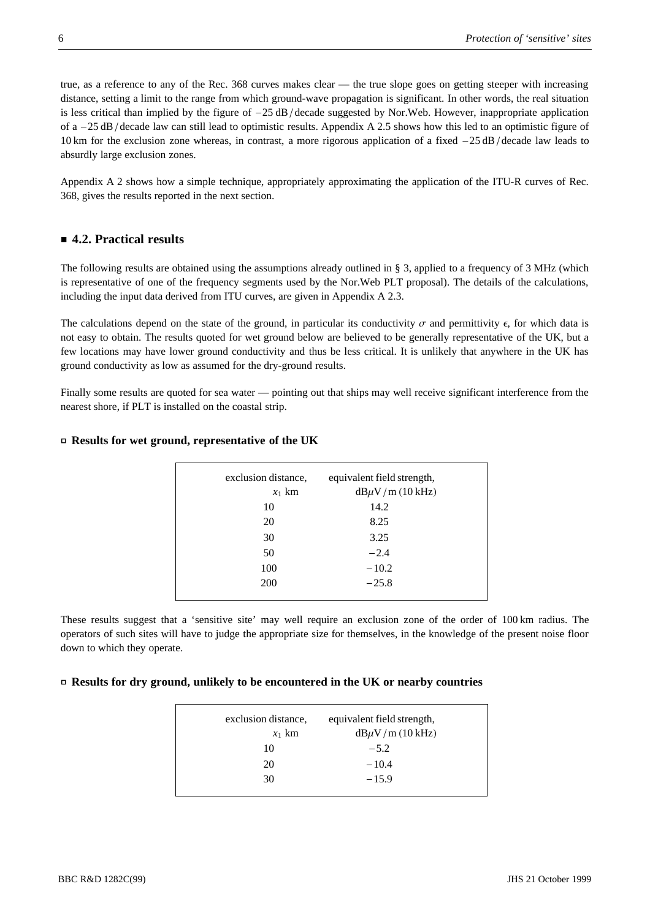true, as a reference to any of the Rec. 368 curves makes clear — the true slope goes on getting steeper with increasing distance, setting a limit to the range from which ground-wave propagation is significant. In other words, the real situation is less critical than implied by the figure of  $-25$  dB/decade suggested by Nor.Web. However, inappropriate application of a  $-25$  dB / decade law can still lead to optimistic results. Appendix A 2.5 shows how this led to an optimistic figure of 10 km for the exclusion zone whereas, in contrast, a more rigorous application of a fixed  $-25$  dB/decade law leads to absurdly large exclusion zones.

Appendix A 2 shows how a simple technique, appropriately approximating the application of the ITU-R curves of Rec. 368, gives the results reported in the next section.

## **4.2. Practical results**

The following results are obtained using the assumptions already outlined in § 3, applied to a frequency of 3 MHz (which is representative of one of the frequency segments used by the Nor.Web PLT proposal). The details of the calculations, including the input data derived from ITU curves, are given in Appendix A 2.3.

The calculations depend on the state of the ground, in particular its conductivity  $\sigma$  and permittivity  $\epsilon$ , for which data is not easy to obtain. The results quoted for wet ground below are believed to be generally representative of the UK, but a few locations may have lower ground conductivity and thus be less critical. It is unlikely that anywhere in the UK has ground conductivity as low as assumed for the dry-ground results.

Finally some results are quoted for sea water — pointing out that ships may well receive significant interference from the nearest shore, if PLT is installed on the coastal strip.

#### **- Results for wet ground, representative of the UK**

| exclusion distance, | equivalent field strength, |
|---------------------|----------------------------|
| $x_1$ km            | $dB\mu V/m$ (10 kHz)       |
| 10                  | 14.2                       |
| 20                  | 8.25                       |
| 30                  | 3.25                       |
| 50                  | $-2.4$                     |
| 100                 | $-10.2$                    |
| 200                 | $-25.8$                    |
|                     |                            |

These results suggest that a 'sensitive site' may well require an exclusion zone of the order of 100 km radius. The operators of such sites will have to judge the appropriate size for themselves, in the knowledge of the present noise floor down to which they operate.

#### **- Results for dry ground, unlikely to be encountered in the UK or nearby countries**

| exclusion distance,<br>$x_1$ km | equivalent field strength,<br>$dB\mu V/m$ (10 kHz) |
|---------------------------------|----------------------------------------------------|
| 10                              | $-5.2$                                             |
| 20                              | $-10.4$                                            |
| 30                              | $-15.9$                                            |
|                                 |                                                    |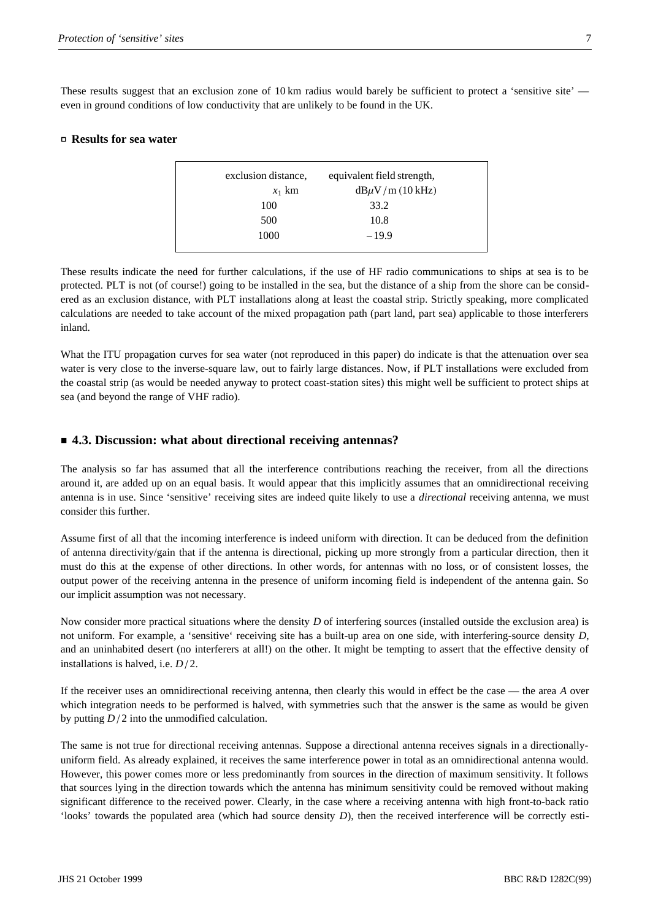These results suggest that an exclusion zone of 10 km radius would barely be sufficient to protect a 'sensitive site' even in ground conditions of low conductivity that are unlikely to be found in the UK.

#### **- Results for sea water**

| $x_1$ km | $dB\mu V/m$ (10 kHz) |
|----------|----------------------|
| 100      | 33.2                 |
| 500      | 10.8                 |
| 1000     | $-19.9$              |

These results indicate the need for further calculations, if the use of HF radio communications to ships at sea is to be protected. PLT is not (of course!) going to be installed in the sea, but the distance of a ship from the shore can be considered as an exclusion distance, with PLT installations along at least the coastal strip. Strictly speaking, more complicated calculations are needed to take account of the mixed propagation path (part land, part sea) applicable to those interferers inland.

What the ITU propagation curves for sea water (not reproduced in this paper) do indicate is that the attenuation over sea water is very close to the inverse-square law, out to fairly large distances. Now, if PLT installations were excluded from the coastal strip (as would be needed anyway to protect coast-station sites) this might well be sufficient to protect ships at sea (and beyond the range of VHF radio).

#### **4.3. Discussion: what about directional receiving antennas?**

The analysis so far has assumed that all the interference contributions reaching the receiver, from all the directions around it, are added up on an equal basis. It would appear that this implicitly assumes that an omnidirectional receiving antenna is in use. Since 'sensitive' receiving sites are indeed quite likely to use a *directional* receiving antenna, we must consider this further.

Assume first of all that the incoming interference is indeed uniform with direction. It can be deduced from the definition of antenna directivity/gain that if the antenna is directional, picking up more strongly from a particular direction, then it must do this at the expense of other directions. In other words, for antennas with no loss, or of consistent losses, the output power of the receiving antenna in the presence of uniform incoming field is independent of the antenna gain. So our implicit assumption was not necessary.

Now consider more practical situations where the density *D* of interfering sources (installed outside the exclusion area) is not uniform. For example, a 'sensitive' receiving site has a built-up area on one side, with interfering-source density *D*, and an uninhabited desert (no interferers at all!) on the other. It might be tempting to assert that the effective density of installations is halved, i.e.  $D/2$ .

If the receiver uses an omnidirectional receiving antenna, then clearly this would in effect be the case — the area *A* over which integration needs to be performed is halved, with symmetries such that the answer is the same as would be given by putting  $D/2$  into the unmodified calculation.

The same is not true for directional receiving antennas. Suppose a directional antenna receives signals in a directionallyuniform field. As already explained, it receives the same interference power in total as an omnidirectional antenna would. However, this power comes more or less predominantly from sources in the direction of maximum sensitivity. It follows that sources lying in the direction towards which the antenna has minimum sensitivity could be removed without making significant difference to the received power. Clearly, in the case where a receiving antenna with high front-to-back ratio 'looks' towards the populated area (which had source density *D*), then the received interference will be correctly esti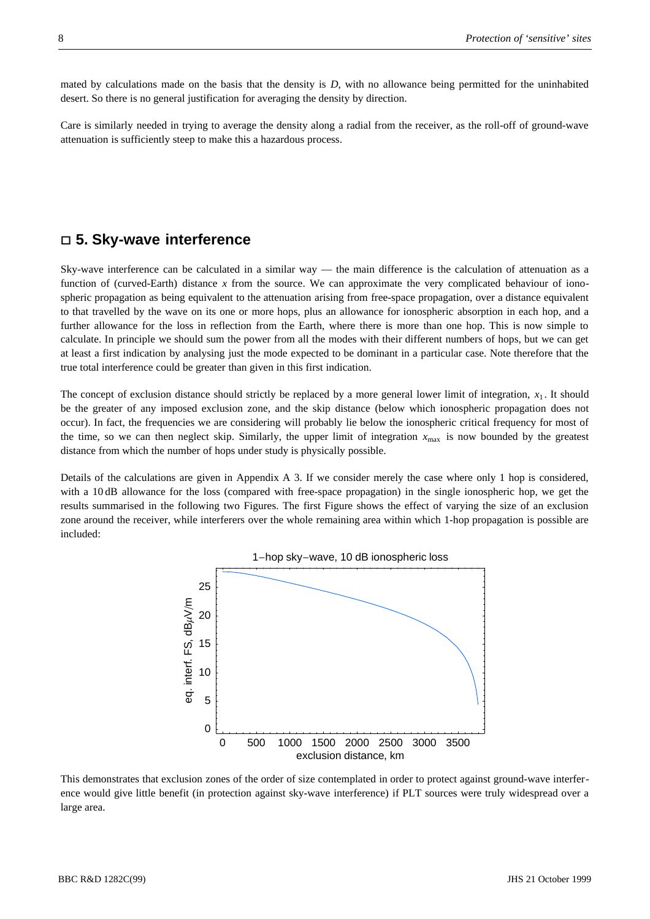mated by calculations made on the basis that the density is *D*, with no allowance being permitted for the uninhabited desert. So there is no general justification for averaging the density by direction.

Care is similarly needed in trying to average the density along a radial from the receiver, as the roll-off of ground-wave attenuation is sufficiently steep to make this a hazardous process.

## **5. Sky-wave interference**

Sky-wave interference can be calculated in a similar way — the main difference is the calculation of attenuation as a function of (curved-Earth) distance *x* from the source. We can approximate the very complicated behaviour of ionospheric propagation as being equivalent to the attenuation arising from free-space propagation, over a distance equivalent to that travelled by the wave on its one or more hops, plus an allowance for ionospheric absorption in each hop, and a further allowance for the loss in reflection from the Earth, where there is more than one hop. This is now simple to calculate. In principle we should sum the power from all the modes with their different numbers of hops, but we can get at least a first indication by analysing just the mode expected to be dominant in a particular case. Note therefore that the true total interference could be greater than given in this first indication.

The concept of exclusion distance should strictly be replaced by a more general lower limit of integration,  $x_1$ . It should be the greater of any imposed exclusion zone, and the skip distance (below which ionospheric propagation does not occur). In fact, the frequencies we are considering will probably lie below the ionospheric critical frequency for most of the time, so we can then neglect skip. Similarly, the upper limit of integration  $x_{\text{max}}$  is now bounded by the greatest distance from which the number of hops under study is physically possible.

Details of the calculations are given in Appendix A 3. If we consider merely the case where only 1 hop is considered, with a 10 dB allowance for the loss (compared with free-space propagation) in the single ionospheric hop, we get the results summarised in the following two Figures. The first Figure shows the effect of varying the size of an exclusion zone around the receiver, while interferers over the whole remaining area within which 1-hop propagation is possible are included:



This demonstrates that exclusion zones of the order of size contemplated in order to protect against ground-wave interference would give little benefit (in protection against sky-wave interference) if PLT sources were truly widespread over a large area.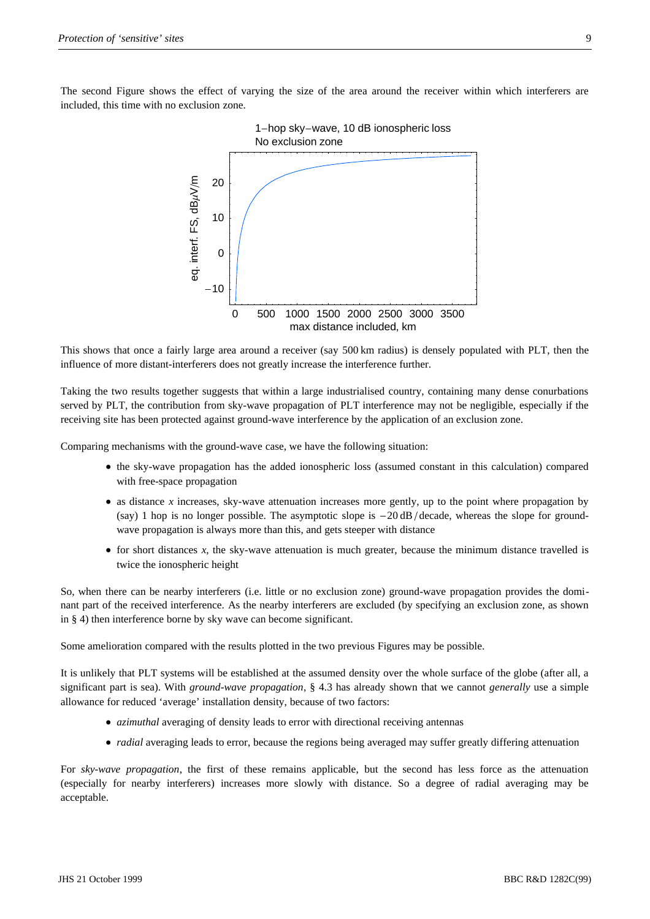

This shows that once a fairly large area around a receiver (say 500 km radius) is densely populated with PLT, then the influence of more distant-interferers does not greatly increase the interference further.

Taking the two results together suggests that within a large industrialised country, containing many dense conurbations served by PLT, the contribution from sky-wave propagation of PLT interference may not be negligible, especially if the receiving site has been protected against ground-wave interference by the application of an exclusion zone.

Comparing mechanisms with the ground-wave case, we have the following situation:

- the sky-wave propagation has the added ionospheric loss (assumed constant in this calculation) compared with free-space propagation
- as distance *x* increases, sky-wave attenuation increases more gently, up to the point where propagation by (say) 1 hop is no longer possible. The asymptotic slope is  $-20 \text{ dB}/\text{decade}$ , whereas the slope for groundwave propagation is always more than this, and gets steeper with distance
- for short distances *x*, the sky-wave attenuation is much greater, because the minimum distance travelled is twice the ionospheric height

So, when there can be nearby interferers (i.e. little or no exclusion zone) ground-wave propagation provides the dominant part of the received interference. As the nearby interferers are excluded (by specifying an exclusion zone, as shown in § 4) then interference borne by sky wave can become significant.

Some amelioration compared with the results plotted in the two previous Figures may be possible.

It is unlikely that PLT systems will be established at the assumed density over the whole surface of the globe (after all, a significant part is sea). With *ground-wave propagation*, § 4.3 has already shown that we cannot *generally* use a simple allowance for reduced 'average' installation density, because of two factors:

- *azimuthal* averaging of density leads to error with directional receiving antennas
- *radial* averaging leads to error, because the regions being averaged may suffer greatly differing attenuation

For *sky-wave propagation*, the first of these remains applicable, but the second has less force as the attenuation (especially for nearby interferers) increases more slowly with distance. So a degree of radial averaging may be acceptable.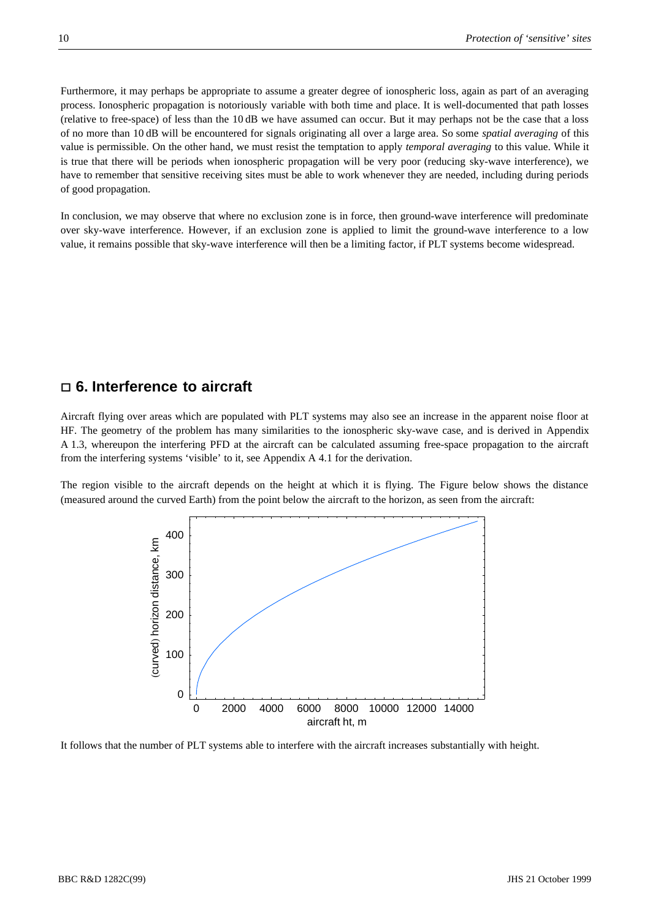Furthermore, it may perhaps be appropriate to assume a greater degree of ionospheric loss, again as part of an averaging process. Ionospheric propagation is notoriously variable with both time and place. It is well-documented that path losses (relative to free-space) of less than the 10 dB we have assumed can occur. But it may perhaps not be the case that a loss of no more than 10 dB will be encountered for signals originating all over a large area. So some *spatial averaging* of this value is permissible. On the other hand, we must resist the temptation to apply *temporal averaging* to this value. While it is true that there will be periods when ionospheric propagation will be very poor (reducing sky-wave interference), we have to remember that sensitive receiving sites must be able to work whenever they are needed, including during periods of good propagation.

In conclusion, we may observe that where no exclusion zone is in force, then ground-wave interference will predominate over sky-wave interference. However, if an exclusion zone is applied to limit the ground-wave interference to a low value, it remains possible that sky-wave interference will then be a limiting factor, if PLT systems become widespread.

## **6. Interference to aircraft**

Aircraft flying over areas which are populated with PLT systems may also see an increase in the apparent noise floor at HF. The geometry of the problem has many similarities to the ionospheric sky-wave case, and is derived in Appendix A 1.3, whereupon the interfering PFD at the aircraft can be calculated assuming free-space propagation to the aircraft from the interfering systems 'visible' to it, see Appendix A 4.1 for the derivation.

The region visible to the aircraft depends on the height at which it is flying. The Figure below shows the distance (measured around the curved Earth) from the point below the aircraft to the horizon, as seen from the aircraft:



It follows that the number of PLT systems able to interfere with the aircraft increases substantially with height.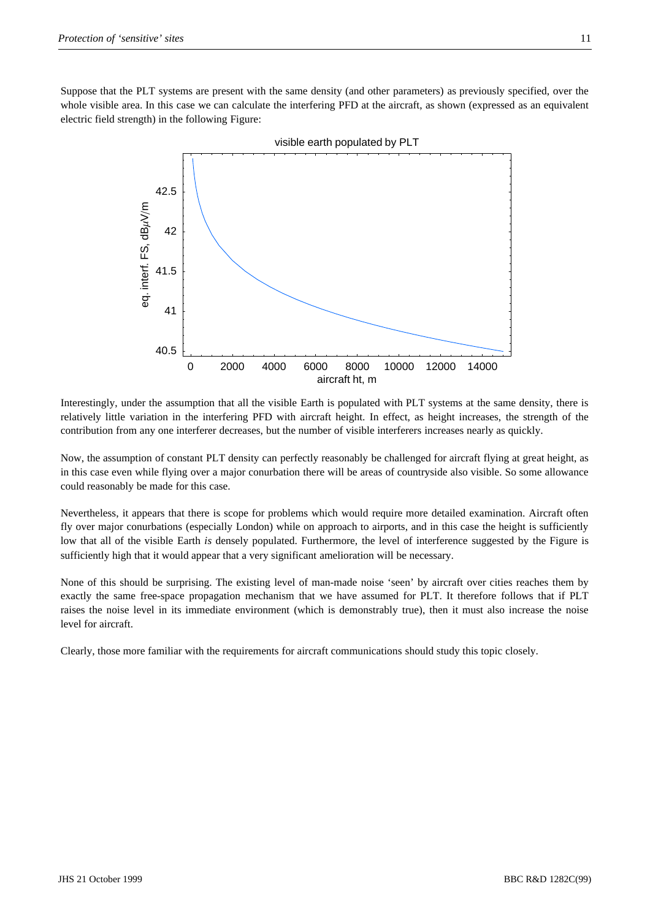Suppose that the PLT systems are present with the same density (and other parameters) as previously specified, over the whole visible area. In this case we can calculate the interfering PFD at the aircraft, as shown (expressed as an equivalent electric field strength) in the following Figure:



Interestingly, under the assumption that all the visible Earth is populated with PLT systems at the same density, there is relatively little variation in the interfering PFD with aircraft height. In effect, as height increases, the strength of the contribution from any one interferer decreases, but the number of visible interferers increases nearly as quickly.

Now, the assumption of constant PLT density can perfectly reasonably be challenged for aircraft flying at great height, as in this case even while flying over a major conurbation there will be areas of countryside also visible. So some allowance could reasonably be made for this case.

Nevertheless, it appears that there is scope for problems which would require more detailed examination. Aircraft often fly over major conurbations (especially London) while on approach to airports, and in this case the height is sufficiently low that all of the visible Earth *is* densely populated. Furthermore, the level of interference suggested by the Figure is sufficiently high that it would appear that a very significant amelioration will be necessary.

None of this should be surprising. The existing level of man-made noise 'seen' by aircraft over cities reaches them by exactly the same free-space propagation mechanism that we have assumed for PLT. It therefore follows that if PLT raises the noise level in its immediate environment (which is demonstrably true), then it must also increase the noise level for aircraft.

Clearly, those more familiar with the requirements for aircraft communications should study this topic closely.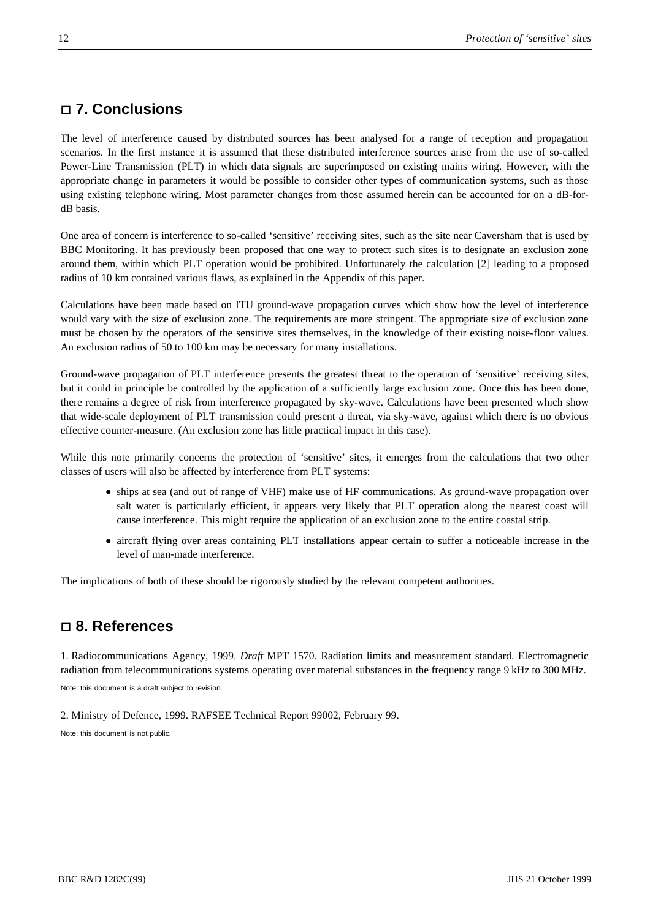## **7. Conclusions**

The level of interference caused by distributed sources has been analysed for a range of reception and propagation scenarios. In the first instance it is assumed that these distributed interference sources arise from the use of so-called Power-Line Transmission (PLT) in which data signals are superimposed on existing mains wiring. However, with the appropriate change in parameters it would be possible to consider other types of communication systems, such as those using existing telephone wiring. Most parameter changes from those assumed herein can be accounted for on a dB-fordB basis.

One area of concern is interference to so-called 'sensitive' receiving sites, such as the site near Caversham that is used by BBC Monitoring. It has previously been proposed that one way to protect such sites is to designate an exclusion zone around them, within which PLT operation would be prohibited. Unfortunately the calculation [2] leading to a proposed radius of 10 km contained various flaws, as explained in the Appendix of this paper.

Calculations have been made based on ITU ground-wave propagation curves which show how the level of interference would vary with the size of exclusion zone. The requirements are more stringent. The appropriate size of exclusion zone must be chosen by the operators of the sensitive sites themselves, in the knowledge of their existing noise-floor values. An exclusion radius of 50 to 100 km may be necessary for many installations.

Ground-wave propagation of PLT interference presents the greatest threat to the operation of 'sensitive' receiving sites, but it could in principle be controlled by the application of a sufficiently large exclusion zone. Once this has been done, there remains a degree of risk from interference propagated by sky-wave. Calculations have been presented which show that wide-scale deployment of PLT transmission could present a threat, via sky-wave, against which there is no obvious effective counter-measure. (An exclusion zone has little practical impact in this case).

While this note primarily concerns the protection of 'sensitive' sites, it emerges from the calculations that two other classes of users will also be affected by interference from PLT systems:

- ships at sea (and out of range of VHF) make use of HF communications. As ground-wave propagation over salt water is particularly efficient, it appears very likely that PLT operation along the nearest coast will cause interference. This might require the application of an exclusion zone to the entire coastal strip.
- aircraft flying over areas containing PLT installations appear certain to suffer a noticeable increase in the level of man-made interference.

The implications of both of these should be rigorously studied by the relevant competent authorities.

## **8. References**

1. Radiocommunications Agency, 1999. *Draft* MPT 1570. Radiation limits and measurement standard. Electromagnetic radiation from telecommunications systems operating over material substances in the frequency range 9 kHz to 300 MHz. Note: this document is a draft subject to revision.

2. Ministry of Defence, 1999. RAFSEE Technical Report 99002, February 99.

Note: this document is not public.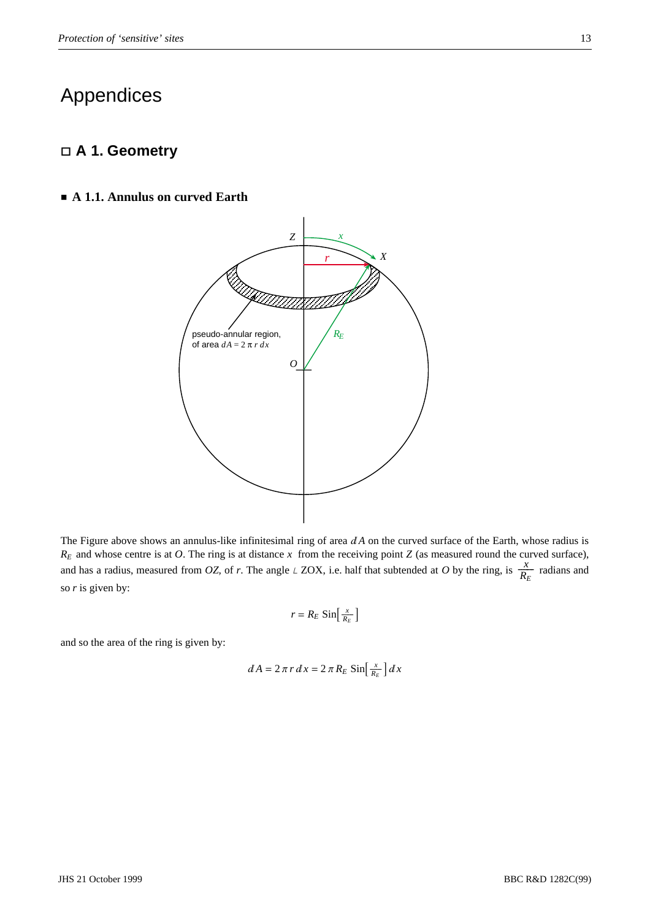## Appendices

## **A 1. Geometry**

#### **A 1.1. Annulus on curved Earth**



The Figure above shows an annulus-like infinitesimal ring of area  $dA$  on the curved surface of the Earth, whose radius is  $R_E$  and whose centre is at *O*. The ring is at distance *x* from the receiving point *Z* (as measured round the curved surface), and has a radius, measured from *OZ*, of *r*. The angle  $\angle$  ZOX, i.e. half that subtended at *O* by the ring, is  $\frac{x}{R_E}$  radians and so *r* is given by:

$$
r = R_E \sin\left[\frac{x}{R_E}\right]
$$

and so the area of the ring is given by:

$$
dA = 2\pi r dx = 2\pi R_E \sin\left[\frac{x}{R_E}\right] dx
$$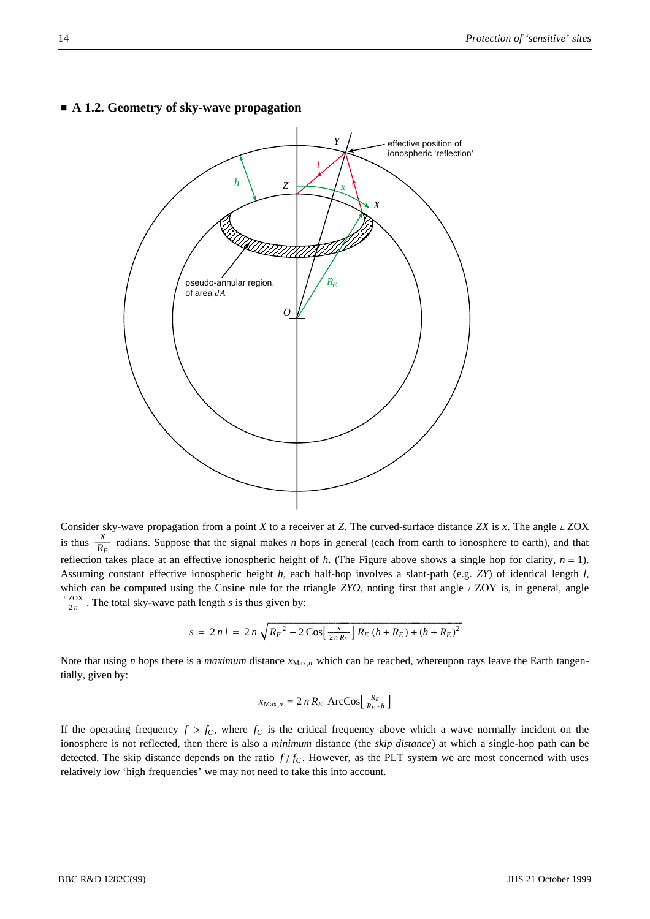

## **A 1.2. Geometry of sky-wave propagation**

Consider sky-wave propagation from a point  $X$  to a receiver at  $Z$ . The curved-surface distance  $ZX$  is  $x$ . The angle  $\angle ZOX$ is thus  $\frac{x}{R_E}$  radians. Suppose that the signal makes *n* hops in general (each from earth to ionosphere to earth), and that reflection takes place at an effective ionospheric height of  $h$ . (The Figure above shows a single hop for clarity,  $n = 1$ ). Assuming constant effective ionospheric height *h*, each half-hop involves a slant-path (e.g. *ZY*) of identical length *l*, which can be computed using the Cosine rule for the triangle  $ZYO$ , noting first that angle  $LZOY$  is, in general, angle  $\frac{2ZOX}{2n}$ . The total sky-wave path length *s* is thus given by:

$$
s = 2 n l = 2 n \sqrt{R_E^2 - 2 \cos \left[ \frac{x}{2 n R_E} \right] R_E \left( h + R_E \right) + \left( h + R_E \right)^2}
$$

Note that using *n* hops there is a *maximum* distance  $x_{\text{Max},n}$  which can be reached, whereupon rays leave the Earth tangentially, given by:

$$
x_{\text{Max},n} = 2 n R_E \text{ ArcCos}\left[\frac{R_E}{R_E + h}\right]
$$

If the operating frequency  $f > f_C$ , where  $f_C$  is the critical frequency above which a wave normally incident on the ionosphere is not reflected, then there is also a *minimum* distance (the *skip distance*) at which a single-hop path can be detected. The skip distance depends on the ratio  $f/f_c$ . However, as the PLT system we are most concerned with uses relatively low 'high frequencies' we may not need to take this into account.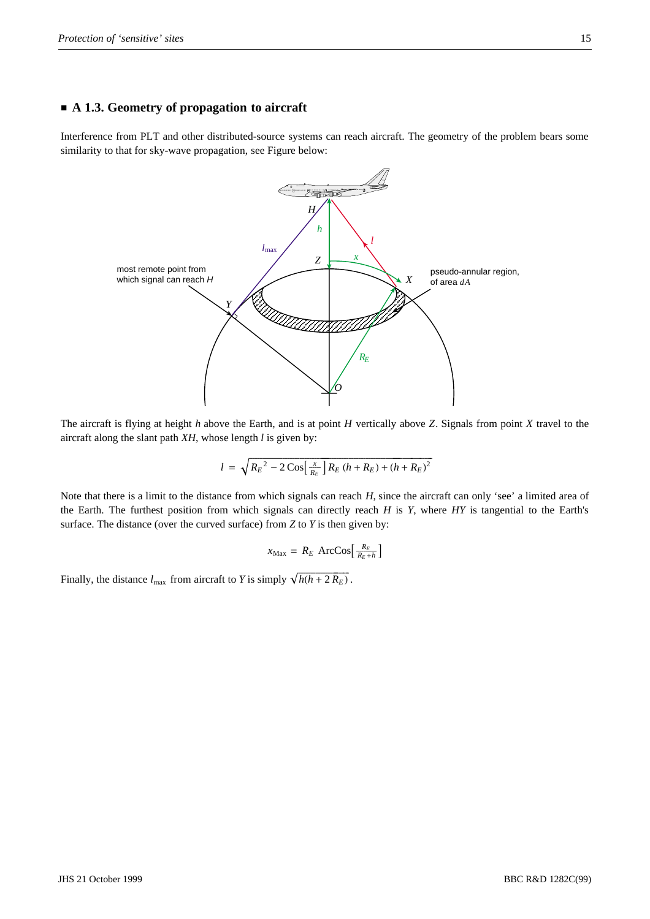#### **A 1.3. Geometry of propagation to aircraft**

Interference from PLT and other distributed-source systems can reach aircraft. The geometry of the problem bears some similarity to that for sky-wave propagation, see Figure below:



The aircraft is flying at height *h* above the Earth, and is at point *H* vertically above *Z*. Signals from point *X* travel to the aircraft along the slant path *XH*, whose length *l* is given by:

$$
l = \sqrt{R_E^2 - 2\cos\left[\frac{x}{R_E}\right]R_E\left(h + R_E\right) + \left(h + R_E\right)^2}
$$

Note that there is a limit to the distance from which signals can reach *H*, since the aircraft can only 'see' a limited area of the Earth. The furthest position from which signals can directly reach *H* is *Y*, where *HY* is tangential to the Earth's surface. The distance (over the curved surface) from *Z* to *Y* is then given by:

$$
x_{\text{Max}} = R_E \text{ ArcCos}\left[\frac{R_E}{R_E + h}\right]
$$

Finally, the distance  $l_{\text{max}}$  from aircraft to *Y* is simply  $\sqrt{h(h+2R_E)}$ .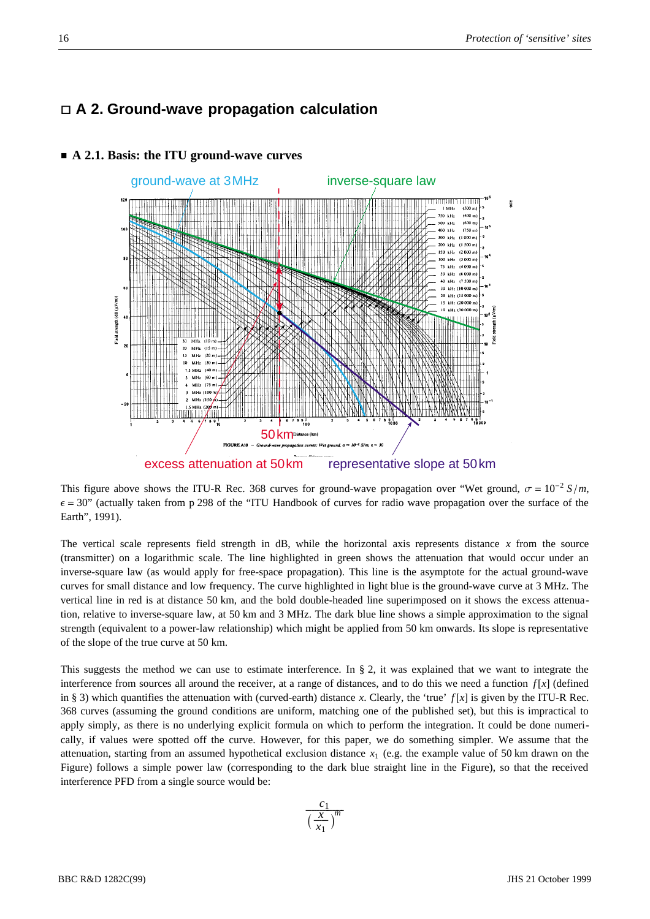## **A 2. Ground-wave propagation calculation**



#### **A 2.1. Basis: the ITU ground-wave curves**

This figure above shows the ITU-R Rec. 368 curves for ground-wave propagation over "Wet ground,  $\sigma = 10^{-2} S/m$ ,  $\epsilon$  = 30" (actually taken from p 298 of the "ITU Handbook of curves for radio wave propagation over the surface of the Earth", 1991).

The vertical scale represents field strength in dB, while the horizontal axis represents distance *x* from the source (transmitter) on a logarithmic scale. The line highlighted in green shows the attenuation that would occur under an inverse-square law (as would apply for free-space propagation). This line is the asymptote for the actual ground-wave curves for small distance and low frequency. The curve highlighted in light blue is the ground-wave curve at 3 MHz. The vertical line in red is at distance 50 km, and the bold double-headed line superimposed on it shows the excess attenuation, relative to inverse-square law, at 50 km and 3 MHz. The dark blue line shows a simple approximation to the signal strength (equivalent to a power-law relationship) which might be applied from 50 km onwards. Its slope is representative of the slope of the true curve at 50 km.

This suggests the method we can use to estimate interference. In § 2, it was explained that we want to integrate the interference from sources all around the receiver, at a range of distances, and to do this we need a function  $f[x]$  (defined in § 3) which quantifies the attenuation with (curved-earth) distance *x*. Clearly, the 'true'  $f[x]$  is given by the ITU-R Rec. 368 curves (assuming the ground conditions are uniform, matching one of the published set), but this is impractical to apply simply, as there is no underlying explicit formula on which to perform the integration. It could be done numerically, if values were spotted off the curve. However, for this paper, we do something simpler. We assume that the attenuation, starting from an assumed hypothetical exclusion distance  $x_1$  (e.g. the example value of 50 km drawn on the Figure) follows a simple power law (corresponding to the dark blue straight line in the Figure), so that the received interference PFD from a single source would be: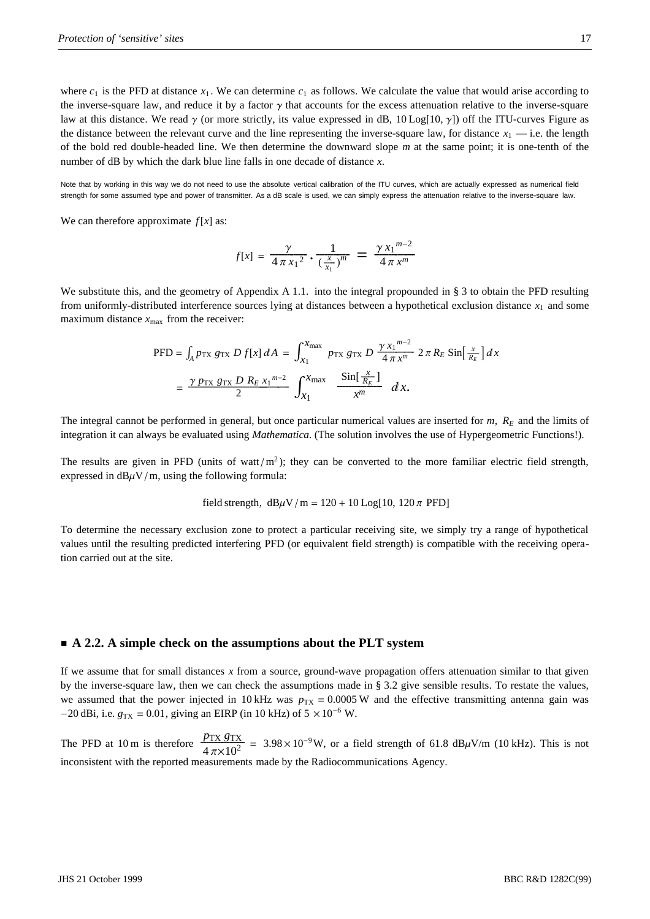where  $c_1$  is the PFD at distance  $x_1$ . We can determine  $c_1$  as follows. We calculate the value that would arise according to the inverse-square law, and reduce it by a factor  $\gamma$  that accounts for the excess attenuation relative to the inverse-square law at this distance. We read  $\gamma$  (or more strictly, its value expressed in dB,  $10$  Log[ $10, \gamma$ ]) off the ITU-curves Figure as the distance between the relevant curve and the line representing the inverse-square law, for distance  $x_1$  — i.e. the length of the bold red double-headed line. We then determine the downward slope *m* at the same point; it is one-tenth of the number of dB by which the dark blue line falls in one decade of distance *x*.

Note that by working in this way we do not need to use the absolute vertical calibration of the ITU curves, which are actually expressed as numerical field strength for some assumed type and power of transmitter. As a dB scale is used, we can simply express the attenuation relative to the inverse-square law.

We can therefore approximate  $f[x]$  as:

$$
f[x] = \frac{\gamma}{4 \pi x_1^2} \cdot \frac{1}{(\frac{x}{x_1})^m} = \frac{\gamma x_1^{m-2}}{4 \pi x^m}
$$

We substitute this, and the geometry of Appendix A 1.1. into the integral propounded in § 3 to obtain the PFD resulting from uniformly-distributed interference sources lying at distances between a hypothetical exclusion distance  $x_1$  and some maximum distance  $x_{\text{max}}$  from the receiver:

$$
\begin{split} \text{PFD} &= \int_{A} p_{\text{TX}} \, g_{\text{TX}} \, D \, f[x] \, dA \, = \, \int_{x_1}^{x_{\text{max}}} \, p_{\text{TX}} \, g_{\text{TX}} \, D \, \frac{\gamma \, x_1^{m-2}}{4 \, \pi \, x^m} \, 2 \, \pi \, R_E \, \text{Sin} \left[ \, \frac{x}{R_E} \right] \, dx \\ &= \, \frac{\gamma \, p_{\text{TX}} \, g_{\text{TX}} \, D \, R_E \, x_1^{m-2}}{2} \, \int_{x_1}^{x_{\text{max}}} \, \frac{\text{Sin} \left[ \, \frac{x}{R_E} \right]}{x^m} \, dx. \end{split}
$$

The integral cannot be performed in general, but once particular numerical values are inserted for *m*, *RE* and the limits of integration it can always be evaluated using *Mathematica*. (The solution involves the use of Hypergeometric Functions!).

The results are given in PFD (units of watt/ $m^2$ ); they can be converted to the more familiar electric field strength, expressed in  $dB\mu V/m$ , using the following formula:

field strength, 
$$
dB\mu V/m = 120 + 10 \text{Log}[10, 120 \pi \text{ PFD}]
$$

To determine the necessary exclusion zone to protect a particular receiving site, we simply try a range of hypothetical values until the resulting predicted interfering PFD (or equivalent field strength) is compatible with the receiving operation carried out at the site.

#### **A 2.2. A simple check on the assumptions about the PLT system**

If we assume that for small distances *x* from a source, ground-wave propagation offers attenuation similar to that given by the inverse-square law, then we can check the assumptions made in § 3.2 give sensible results. To restate the values, we assumed that the power injected in  $10 \text{ kHz}$  was  $p_{\text{TX}} = 0.0005 \text{ W}$  and the effective transmitting antenna gain was  $-20$  dBi, i.e.  $g_{\text{TX}} = 0.01$ , giving an EIRP (in 10 kHz) of  $5 \times 10^{-6}$  W.

The PFD at 10 m is therefore  $\frac{p_{\text{TX}} g_{\text{TX}}}{4 \pi \times 10^2}$  = 3.98 × 10<sup>-9</sup>W, or a field strength of 61.8 dB $\mu$ V/m (10 kHz). This is not inconsistent with the reported measurements made by the Radiocommunications Agency.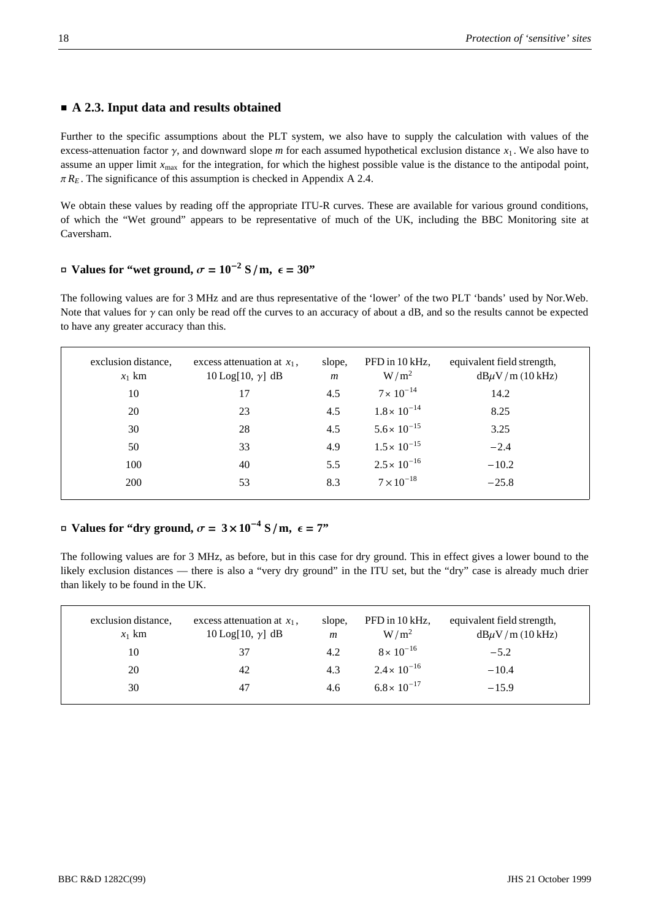#### **A 2.3. Input data and results obtained**

Further to the specific assumptions about the PLT system, we also have to supply the calculation with values of the excess-attenuation factor  $\gamma$ , and downward slope *m* for each assumed hypothetical exclusion distance  $x_1$ . We also have to assume an upper limit  $x_{\text{max}}$  for the integration, for which the highest possible value is the distance to the antipodal point,  $\pi R_E$ . The significance of this assumption is checked in Appendix A 2.4.

We obtain these values by reading off the appropriate ITU-R curves. These are available for various ground conditions, of which the "Wet ground" appears to be representative of much of the UK, including the BBC Monitoring site at Caversham.

## $\sigma$  **Values for "wet ground,**  $\sigma = 10^{-2}$  **S/m,**  $\epsilon = 30$ **"**

The following values are for 3 MHz and are thus representative of the 'lower' of the two PLT 'bands' used by Nor.Web. Note that values for  $\gamma$  can only be read off the curves to an accuracy of about a dB, and so the results cannot be expected to have any greater accuracy than this.

| exclusion distance,<br>$x_1$ km | excess attenuation at $x_1$ ,<br>$10$ Log[10, $\gamma$ ] dB | slope,<br>$\boldsymbol{m}$ | PFD in 10 kHz,<br>$W/m^2$ | equivalent field strength,<br>$dB\mu V/m$ (10 kHz) |
|---------------------------------|-------------------------------------------------------------|----------------------------|---------------------------|----------------------------------------------------|
| 10                              | 17                                                          | 4.5                        | $7 \times 10^{-14}$       | 14.2                                               |
| 20                              | 23                                                          | 4.5                        | $1.8 \times 10^{-14}$     | 8.25                                               |
| 30                              | 28                                                          | 4.5                        | $5.6 \times 10^{-15}$     | 3.25                                               |
| 50                              | 33                                                          | 4.9                        | $1.5 \times 10^{-15}$     | $-2.4$                                             |
| 100                             | 40                                                          | 5.5                        | $2.5 \times 10^{-16}$     | $-10.2$                                            |
| 200                             | 53                                                          | 8.3                        | $7 \times 10^{-18}$       | $-25.8$                                            |
|                                 |                                                             |                            |                           |                                                    |

## $\sigma$  **Values for "dry ground,**  $\sigma = 3 \times 10^{-4}$  **S/m,**  $\epsilon = 7$ **"**

The following values are for 3 MHz, as before, but in this case for dry ground. This in effect gives a lower bound to the likely exclusion distances — there is also a "very dry ground" in the ITU set, but the "dry" case is already much drier than likely to be found in the UK.

| exclusion distance,<br>$x_1$ km | excess attenuation at $x_1$ ,<br>$10$ Log[10, $\gamma$ ] dB | slope,<br>m | PFD in 10 kHz,<br>$W/m^2$ | equivalent field strength,<br>$dB\mu V/m$ (10 kHz) |
|---------------------------------|-------------------------------------------------------------|-------------|---------------------------|----------------------------------------------------|
| 10                              | 37                                                          | 4.2         | $8 \times 10^{-16}$       | $-5.2$                                             |
| 20                              | 42                                                          | 4.3         | $2.4 \times 10^{-16}$     | $-10.4$                                            |
| 30                              | 47                                                          | 4.6         | $6.8 \times 10^{-17}$     | $-15.9$                                            |
|                                 |                                                             |             |                           |                                                    |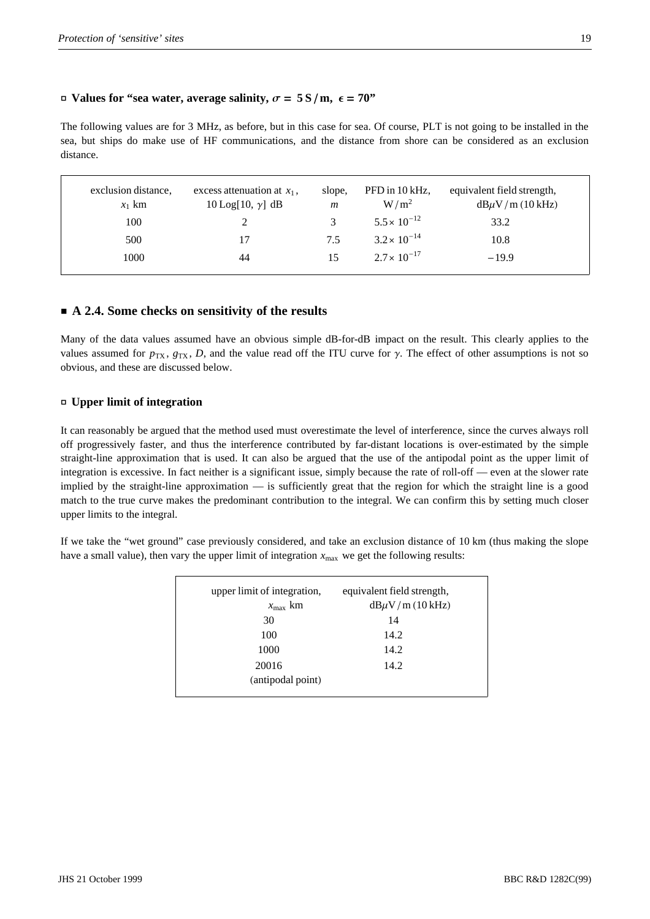#### $\Box$  **Values for "sea water, average salinity,**  $\sigma = 5 \text{ S/m}, \epsilon = 70$ **"**

The following values are for 3 MHz, as before, but in this case for sea. Of course, PLT is not going to be installed in the sea, but ships do make use of HF communications, and the distance from shore can be considered as an exclusion distance.

| exclusion distance,<br>$x_1$ km | excess attenuation at $x_1$ ,<br>$10$ Log[10, $\gamma$ ] dB | slope,<br>$\mathfrak{m}$ | PFD in 10 kHz,<br>$W/m^2$ | equivalent field strength,<br>$dB\mu V/m$ (10 kHz) |
|---------------------------------|-------------------------------------------------------------|--------------------------|---------------------------|----------------------------------------------------|
| 100                             |                                                             |                          | $5.5 \times 10^{-12}$     | 33.2                                               |
| 500                             |                                                             | 7.5                      | $3.2 \times 10^{-14}$     | 10.8                                               |
| 1000                            | 44                                                          | 15                       | $2.7 \times 10^{-17}$     | $-19.9$                                            |
|                                 |                                                             |                          |                           |                                                    |

#### **A 2.4. Some checks on sensitivity of the results**

Many of the data values assumed have an obvious simple dB-for-dB impact on the result. This clearly applies to the values assumed for  $p_{TX}$ ,  $g_{TX}$ , *D*, and the value read off the ITU curve for  $\gamma$ . The effect of other assumptions is not so obvious, and these are discussed below.

#### **- Upper limit of integration**

It can reasonably be argued that the method used must overestimate the level of interference, since the curves always roll off progressively faster, and thus the interference contributed by far-distant locations is over-estimated by the simple straight-line approximation that is used. It can also be argued that the use of the antipodal point as the upper limit of integration is excessive. In fact neither is a significant issue, simply because the rate of roll-off — even at the slower rate implied by the straight-line approximation — is sufficiently great that the region for which the straight line is a good match to the true curve makes the predominant contribution to the integral. We can confirm this by setting much closer upper limits to the integral.

If we take the "wet ground" case previously considered, and take an exclusion distance of 10 km (thus making the slope have a small value), then vary the upper limit of integration  $x_{\text{max}}$  we get the following results:

| upper limit of integration, | equivalent field strength, |
|-----------------------------|----------------------------|
| $x_{\rm max}$ km            | $dB\mu V/m$ (10 kHz)       |
| 30                          | 14                         |
| 100                         | 14.2                       |
| 1000                        | 14.2                       |
| 20016                       | 14.2                       |
| (antipodal point)           |                            |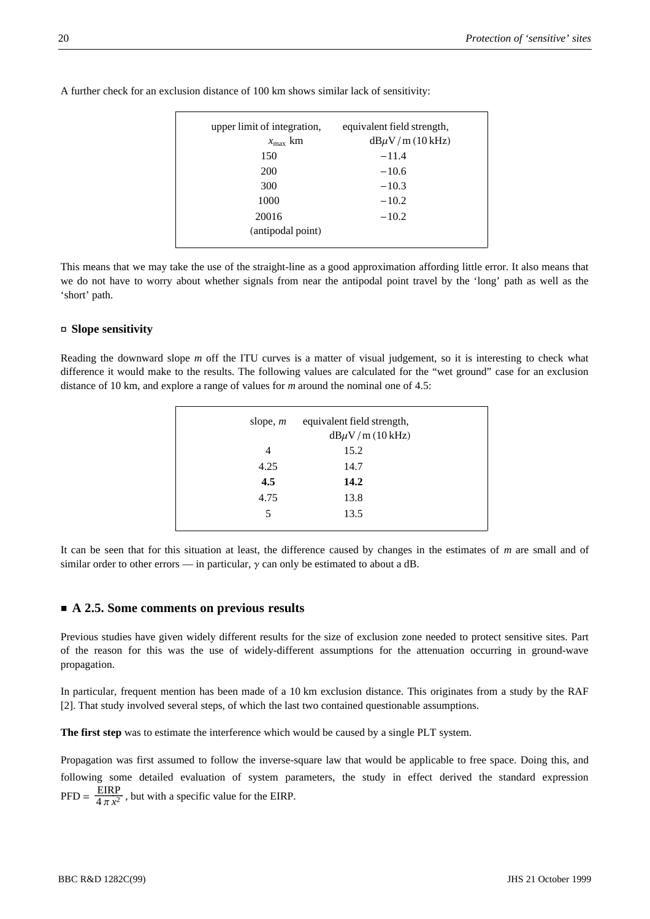| upper limit of integration, | equivalent field strength, |
|-----------------------------|----------------------------|
| $x_{\text{max}}$ km         | $dB\mu V/m$ (10 kHz)       |
| 150                         | $-11.4$                    |
| <b>200</b>                  | $-10.6$                    |
| 300                         | $-10.3$                    |
| 1000                        | $-10.2$                    |
| 20016                       | $-10.2$                    |
| (antipodal point)           |                            |

A further check for an exclusion distance of 100 km shows similar lack of sensitivity:

This means that we may take the use of the straight-line as a good approximation affording little error. It also means that we do not have to worry about whether signals from near the antipodal point travel by the 'long' path as well as the 'short' path.

#### **- Slope sensitivity**

Reading the downward slope *m* off the ITU curves is a matter of visual judgement, so it is interesting to check what difference it would make to the results. The following values are calculated for the "wet ground" case for an exclusion distance of 10 km, and explore a range of values for *m* around the nominal one of 4.5:

| slope, $m$ | equivalent field strength,<br>$dB\mu V/m$ (10 kHz) |
|------------|----------------------------------------------------|
| 4          | 15.2                                               |
| 4.25       | 14.7                                               |
| 4.5        | 14.2                                               |
| 4.75       | 13.8                                               |
| 5          | 13.5                                               |
|            |                                                    |

It can be seen that for this situation at least, the difference caused by changes in the estimates of *m* are small and of similar order to other errors — in particular,  $\gamma$  can only be estimated to about a dB.

#### ■ A 2.5. Some comments on previous results

Previous studies have given widely different results for the size of exclusion zone needed to protect sensitive sites. Part of the reason for this was the use of widely-different assumptions for the attenuation occurring in ground-wave propagation.

In particular, frequent mention has been made of a 10 km exclusion distance. This originates from a study by the RAF [2]. That study involved several steps, of which the last two contained questionable assumptions.

**The first step** was to estimate the interference which would be caused by a single PLT system.

Propagation was first assumed to follow the inverse-square law that would be applicable to free space. Doing this, and following some detailed evaluation of system parameters, the study in effect derived the standard expression PFD =  $\frac{\text{EIRP}}{4 \pi x^2}$ , but with a specific value for the EIRP.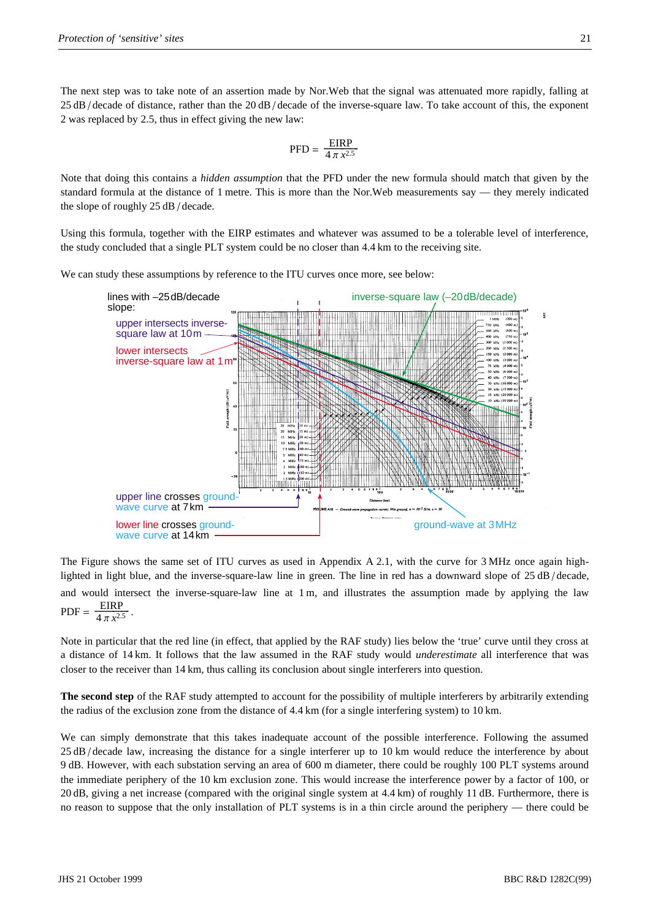The next step was to take note of an assertion made by Nor.Web that the signal was attenuated more rapidly, falling at  $25 dB$  decade of distance, rather than the  $20 dB$  decade of the inverse-square law. To take account of this, the exponent 2 was replaced by 2.5, thus in effect giving the new law:

$$
\mathrm{PFD} = \frac{\mathrm{EIRP}}{4\,\pi\,x^{2.5}}
$$

Note that doing this contains a *hidden assumption* that the PFD under the new formula should match that given by the standard formula at the distance of 1 metre. This is more than the Nor.Web measurements say — they merely indicated the slope of roughly  $25 dB$  / decade.

Using this formula, together with the EIRP estimates and whatever was assumed to be a tolerable level of interference, the study concluded that a single PLT system could be no closer than 4.4 km to the receiving site.

We can study these assumptions by reference to the ITU curves once more, see below:



The Figure shows the same set of ITU curves as used in Appendix A 2.1, with the curve for 3 MHz once again highlighted in light blue, and the inverse-square-law line in green. The line in red has a downward slope of  $25 \text{ dB}/\text{decade}$ , and would intersect the inverse-square-law line at 1 m, and illustrates the assumption made by applying the law  $PDF = \frac{EIRP}{4 \pi x^{2.5}}$ .

Note in particular that the red line (in effect, that applied by the RAF study) lies below the 'true' curve until they cross at a distance of 14 km. It follows that the law assumed in the RAF study would *underestimate* all interference that was closer to the receiver than 14 km, thus calling its conclusion about single interferers into question.

**The second step** of the RAF study attempted to account for the possibility of multiple interferers by arbitrarily extending the radius of the exclusion zone from the distance of 4.4 km (for a single interfering system) to 10 km.

We can simply demonstrate that this takes inadequate account of the possible interference. Following the assumed 25 dB/decade law, increasing the distance for a single interferer up to 10 km would reduce the interference by about 9 dB. However, with each substation serving an area of 600 m diameter, there could be roughly 100 PLT systems around the immediate periphery of the 10 km exclusion zone. This would increase the interference power by a factor of 100, or 20 dB, giving a net increase (compared with the original single system at 4.4 km) of roughly 11 dB. Furthermore, there is no reason to suppose that the only installation of PLT systems is in a thin circle around the periphery — there could be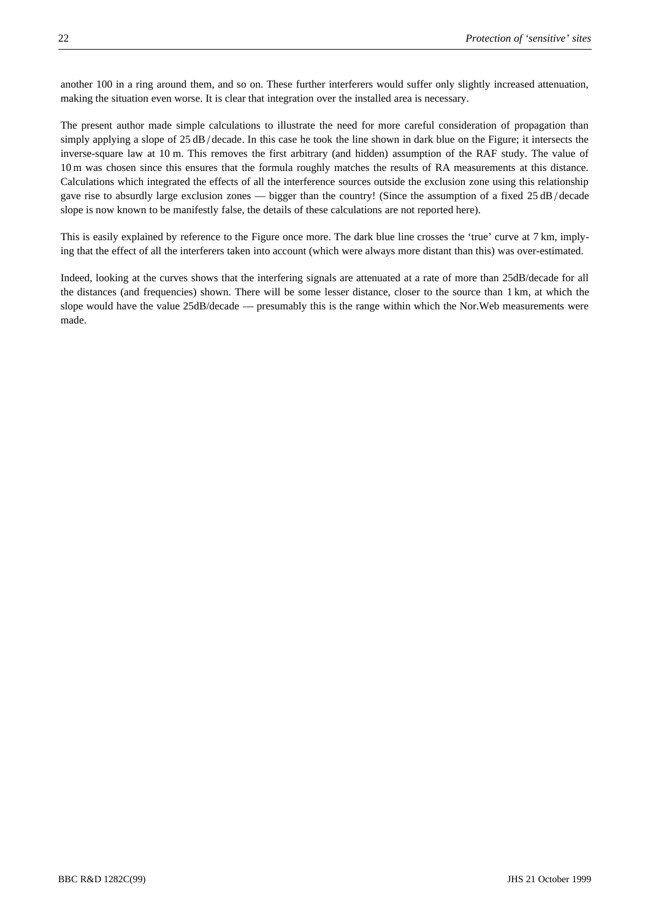another 100 in a ring around them, and so on. These further interferers would suffer only slightly increased attenuation, making the situation even worse. It is clear that integration over the installed area is necessary.

The present author made simple calculations to illustrate the need for more careful consideration of propagation than simply applying a slope of 25 dB/decade. In this case he took the line shown in dark blue on the Figure; it intersects the inverse-square law at 10 m. This removes the first arbitrary (and hidden) assumption of the RAF study. The value of 10 m was chosen since this ensures that the formula roughly matches the results of RA measurements at this distance. Calculations which integrated the effects of all the interference sources outside the exclusion zone using this relationship gave rise to absurdly large exclusion zones — bigger than the country! (Since the assumption of a fixed 25 dB/decade slope is now known to be manifestly false, the details of these calculations are not reported here).

This is easily explained by reference to the Figure once more. The dark blue line crosses the 'true' curve at 7 km, implying that the effect of all the interferers taken into account (which were always more distant than this) was over-estimated.

Indeed, looking at the curves shows that the interfering signals are attenuated at a rate of more than 25dB/decade for all the distances (and frequencies) shown. There will be some lesser distance, closer to the source than 1 km, at which the slope would have the value 25dB/decade — presumably this is the range within which the Nor.Web measurements were made.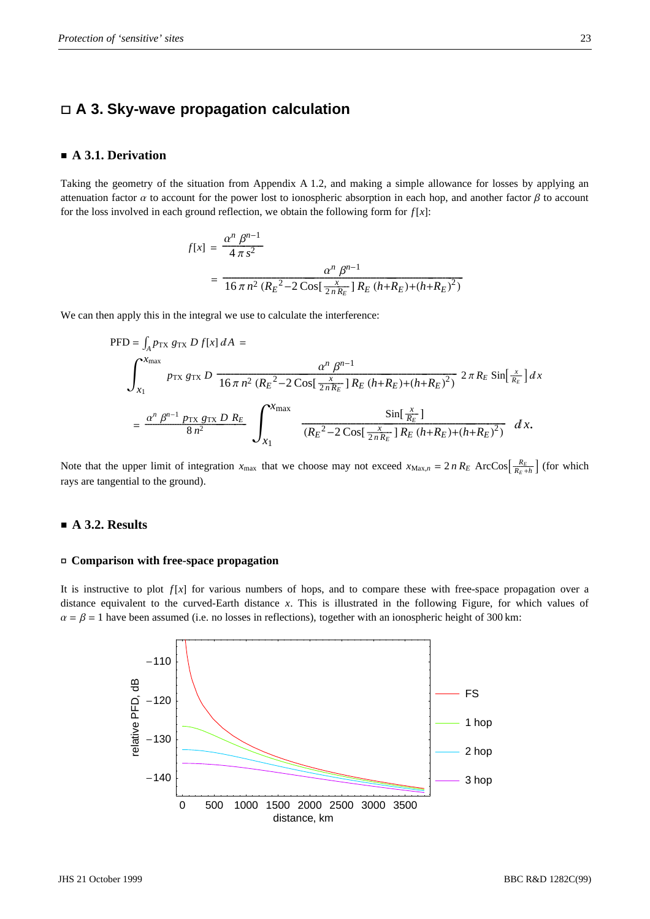## **A 3. Sky-wave propagation calculation**

#### **A 3.1. Derivation**

Taking the geometry of the situation from Appendix A 1.2, and making a simple allowance for losses by applying an attenuation factor  $\alpha$  to account for the power lost to ionospheric absorption in each hop, and another factor  $\beta$  to account for the loss involved in each ground reflection, we obtain the following form for  $f[x]$ :

$$
f[x] = \frac{\alpha^n \beta^{n-1}}{4 \pi s^2}
$$
  
= 
$$
\frac{\alpha^n \beta^{n-1}}{16 \pi n^2 (R_E^2 - 2 \cos[\frac{x}{2nR_E}] R_E (h + R_E) + (h + R_E)^2)}
$$

We can then apply this in the integral we use to calculate the interference:

$$
\text{PFD} = \int_{A} p_{\text{TX}} g_{\text{TX}} D f[x] dA =
$$
\n
$$
\int_{x_{1}}^{x_{\text{max}}} p_{\text{TX}} g_{\text{TX}} D \frac{\alpha^{n} \beta^{n-1}}{16 \pi n^{2} (R_{E}^{2} - 2 \cos[\frac{x}{2nR_{E}}] R_{E} (h + R_{E}) + (h + R_{E})^{2})} 2 \pi R_{E} \sin[\frac{x}{R_{E}}] dx
$$
\n
$$
= \frac{\alpha^{n} \beta^{n-1} p_{\text{TX}} g_{\text{TX}} D R_{E}}{8 n^{2}} \int_{x_{1}}^{x_{\text{max}}} \frac{\sin[\frac{x}{R_{E}}]}{(R_{E}^{2} - 2 \cos[\frac{x}{2nR_{E}}] R_{E} (h + R_{E}) + (h + R_{E})^{2})} dx.
$$

Note that the upper limit of integration  $x_{\text{max}}$  that we choose may not exceed  $x_{\text{Max},n} = 2 n R_E$  ArcCos $\left[\frac{R_E}{R_E + h}\right]$  (for which rays are tangential to the ground).

#### **A 3.2. Results**

#### **- Comparison with free-space propagation**

It is instructive to plot  $f[x]$  for various numbers of hops, and to compare these with free-space propagation over a distance equivalent to the curved-Earth distance *x*. This is illustrated in the following Figure, for which values of  $\alpha = \beta = 1$  have been assumed (i.e. no losses in reflections), together with an ionospheric height of 300 km:

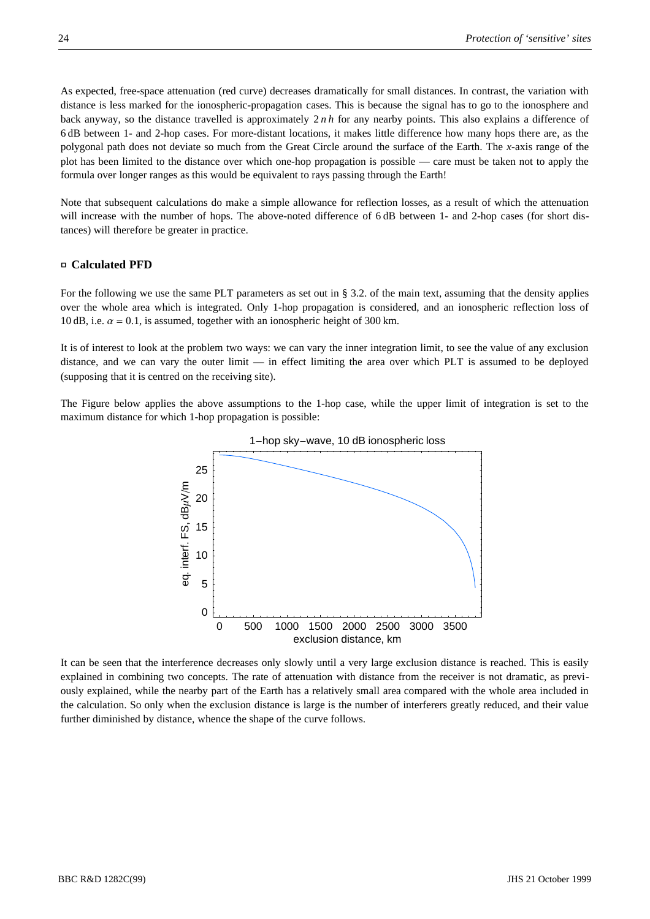As expected, free-space attenuation (red curve) decreases dramatically for small distances. In contrast, the variation with distance is less marked for the ionospheric-propagation cases. This is because the signal has to go to the ionosphere and back anyway, so the distance travelled is approximately 2 *n h* for any nearby points. This also explains a difference of 6 dB between 1- and 2-hop cases. For more-distant locations, it makes little difference how many hops there are, as the polygonal path does not deviate so much from the Great Circle around the surface of the Earth. The *x*-axis range of the plot has been limited to the distance over which one-hop propagation is possible — care must be taken not to apply the formula over longer ranges as this would be equivalent to rays passing through the Earth!

Note that subsequent calculations do make a simple allowance for reflection losses, as a result of which the attenuation will increase with the number of hops. The above-noted difference of 6 dB between 1- and 2-hop cases (for short distances) will therefore be greater in practice.

#### **- Calculated PFD**

For the following we use the same PLT parameters as set out in § 3.2. of the main text, assuming that the density applies over the whole area which is integrated. Only 1-hop propagation is considered, and an ionospheric reflection loss of 10 dB, i.e.  $\alpha = 0.1$ , is assumed, together with an ionospheric height of 300 km.

It is of interest to look at the problem two ways: we can vary the inner integration limit, to see the value of any exclusion distance, and we can vary the outer limit — in effect limiting the area over which PLT is assumed to be deployed (supposing that it is centred on the receiving site).

The Figure below applies the above assumptions to the 1-hop case, while the upper limit of integration is set to the maximum distance for which 1-hop propagation is possible:



It can be seen that the interference decreases only slowly until a very large exclusion distance is reached. This is easily explained in combining two concepts. The rate of attenuation with distance from the receiver is not dramatic, as previously explained, while the nearby part of the Earth has a relatively small area compared with the whole area included in the calculation. So only when the exclusion distance is large is the number of interferers greatly reduced, and their value further diminished by distance, whence the shape of the curve follows.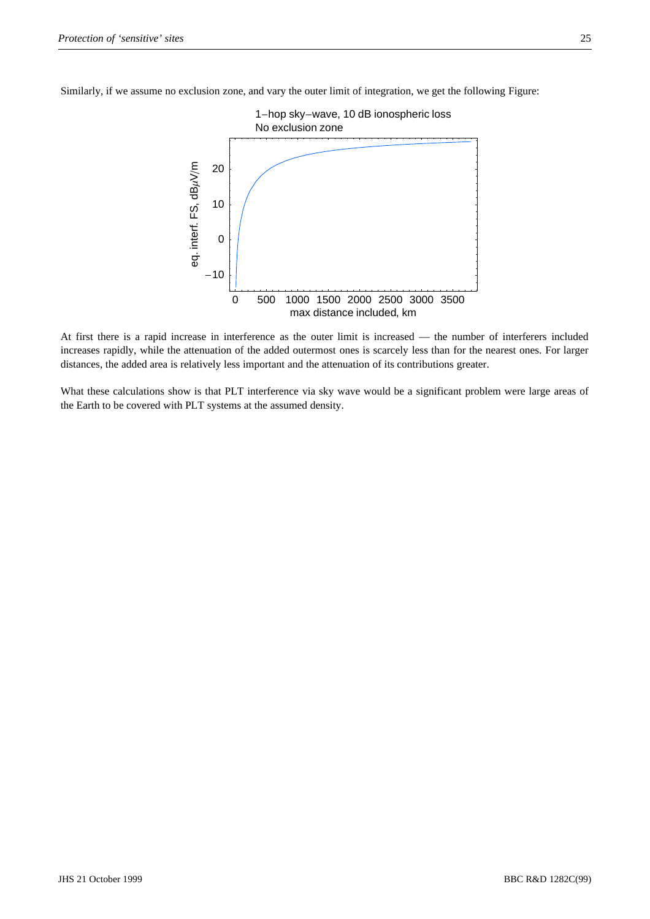Similarly, if we assume no exclusion zone, and vary the outer limit of integration, we get the following Figure:



At first there is a rapid increase in interference as the outer limit is increased — the number of interferers included increases rapidly, while the attenuation of the added outermost ones is scarcely less than for the nearest ones. For larger distances, the added area is relatively less important and the attenuation of its contributions greater.

What these calculations show is that PLT interference via sky wave would be a significant problem were large areas of the Earth to be covered with PLT systems at the assumed density.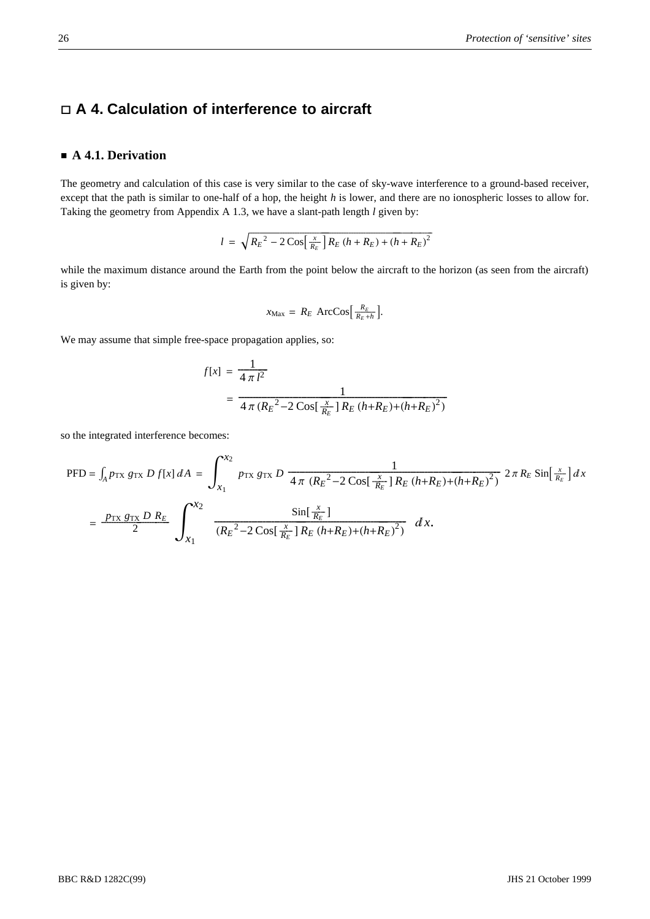## **A 4. Calculation of interference to aircraft**

#### **A 4.1. Derivation**

The geometry and calculation of this case is very similar to the case of sky-wave interference to a ground-based receiver, except that the path is similar to one-half of a hop, the height *h* is lower, and there are no ionospheric losses to allow for. Taking the geometry from Appendix A 1.3, we have a slant-path length *l* given by:

$$
l = \sqrt{R_E^2 - 2\cos\left[\frac{x}{R_E}\right]R_E\left(h + R_E\right) + \left(h + R_E\right)^2}
$$

while the maximum distance around the Earth from the point below the aircraft to the horizon (as seen from the aircraft) is given by:

$$
x_{\text{Max}} = R_E \ \text{ArcCos}\left[\frac{R_E}{R_E + h}\right].
$$

We may assume that simple free-space propagation applies, so:

$$
f[x] = \frac{1}{4 \pi l^2}
$$
  
= 
$$
\frac{1}{4 \pi (R_E^2 - 2 \cos[\frac{x}{R_E}] R_E (h + R_E) + (h + R_E)^2)}
$$

so the integrated interference becomes:

$$
\begin{split} \text{PFD} &= \int_{A} p_{\text{TX}} \, g_{\text{TX}} \, D \, f[x] \, dA \, = \, \int_{x_{1}}^{x_{2}} p_{\text{TX}} \, g_{\text{TX}} \, D \, \frac{1}{4 \, \pi \, \left(R_{E}^{2} - 2 \, \text{Cos}\left[\frac{x}{R_{E}}\right] R_{E} \, \left(h + R_{E}\right) + \left(h + R_{E}\right)^{2}\right)} \, 2 \, \pi \, R_{E} \, \text{Sin}\left[\frac{x}{R_{E}}\right] \, dx \\ &= \, \frac{p_{\text{TX}} \, g_{\text{TX}} \, D \, R_{E}}{2} \, \int_{x_{1}}^{x_{2}} \, \frac{\text{Sin}\left[\frac{x}{R_{E}}\right]}{(R_{E}^{2} - 2 \, \text{Cos}\left[\frac{x}{R_{E}}\right] R_{E} \, \left(h + R_{E}\right) + \left(h + R_{E}\right)^{2}\right)} \, dx. \end{split}
$$